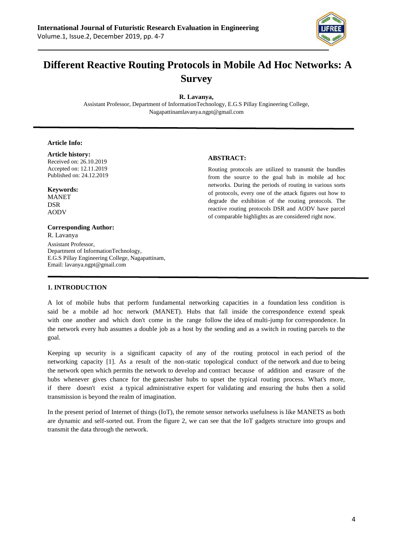

# **Different Reactive Routing Protocols in Mobile Ad Hoc Networks: A Survey**

**R. Lavanya,**

Assistant Professor, Department of InformationTechnology, E.G.S Pillay Engineering College, Nagapattinamlavanya.ngpt@gmail.com

# **Article Info:**

**Article history:** Received on: 26.10.2019 Accepted on: 12.11.2019 Published on: 24.12.2019

**Keywords:** MANET DSR AODV

# **Corresponding Author:** R. Lavanya

Assistant Professor, Department of InformationTechnology, E.G.S Pillay Engineering College, Nagapattinam, Email: lavanya.ngpt@gmail.com

#### **ABSTRACT:**

Routing protocols are utilized to transmit the bundles from the source to the goal hub in mobile ad hoc networks. During the periods of routing in various sorts of protocols, every one of the attack figures out how to degrade the exhibition of the routing protocols. The reactive routing protocols DSR and AODV have parcel of comparable highlights as are considered right now.

#### **1. INTRODUCTION**

A lot of mobile hubs that perform fundamental networking capacities in a foundation less condition is said be a mobile ad hoc network (MANET). Hubs that fall inside the correspondence extend speak with one another and which don't come in the range follow the idea of multi-jump for correspondence. In the network every hub assumes a double job as a host by the sending and as a switch in routing parcels to the goal.

Keeping up security is a significant capacity of any of the routing protocol in each period of the networking capacity [1]. As a result of the non-static topological conduct of the network and due to being the network open which permits the network to develop and contract because of addition and erasure of the hubs whenever gives chance for the gatecrasher hubs to upset the typical routing process. What's more, if there doesn't exist a typical administrative expert for validating and ensuring the hubs then a solid transmission is beyond the realm of imagination.

In the present period of Internet of things (IoT), the remote sensor networks usefulness is like MANETS as both are dynamic and self-sorted out. From the figure 2, we can see that the IoT gadgets structure into groups and transmit the data through the network.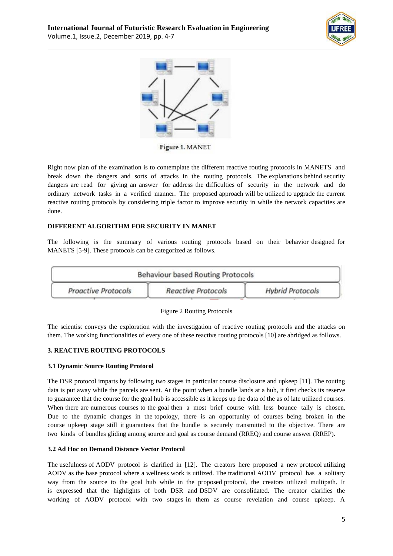



Figure 1. MANET

Right now plan of the examination is to contemplate the different reactive routing protocols in MANETS and break down the dangers and sorts of attacks in the routing protocols. The explanations behind security dangers are read for giving an answer for address the difficulties of security in the network and do ordinary network tasks in a verified manner. The proposed approach will be utilized to upgrade the current reactive routing protocols by considering triple factor to improve security in while the network capacities are done.

# **DIFFERENT ALGORITHM FOR SECURITY IN MANET**

The following is the summary of various routing protocols based on their behavior designed for MANETS [5-9]. These protocols can be categorized as follows.

| <b>Behaviour based Routing Protocols</b> |                           |                         |
|------------------------------------------|---------------------------|-------------------------|
| <b>Proactive Protocols</b>               | <b>Reactive Protocols</b> | <b>Hybrid Protocols</b> |

# Figure 2 Routing Protocols

The scientist conveys the exploration with the investigation of reactive routing protocols and the attacks on them. The working functionalities of every one of these reactive routing protocols [10] are abridged as follows.

# **3. REACTIVE ROUTING PROTOCOLS**

#### **3.1 Dynamic Source Routing Protocol**

The DSR protocol imparts by following two stages in particular course disclosure and upkeep [11]. The routing data is put away while the parcels are sent. At the point when a bundle lands at a hub, it first checks its reserve to guarantee that the course for the goal hub is accessible as it keeps up the data of the as of late utilized courses. When there are numerous courses to the goal then a most brief course with less bounce tally is chosen. Due to the dynamic changes in the topology, there is an opportunity of courses being broken in the course upkeep stage still it guarantees that the bundle is securely transmitted to the objective. There are two kinds of bundles gliding among source and goal as course demand (RREQ) and course answer (RREP).

# **3.2 Ad Hoc on Demand Distance Vector Protocol**

The usefulness of AODV protocol is clarified in [12]. The creators here proposed a new protocol utilizing AODV as the base protocol where a wellness work is utilized. The traditional AODV protocol has a solitary way from the source to the goal hub while in the proposed protocol, the creators utilized multipath. It is expressed that the highlights of both DSR and DSDV are consolidated. The creator clarifies the working of AODV protocol with two stages in them as course revelation and course upkeep. A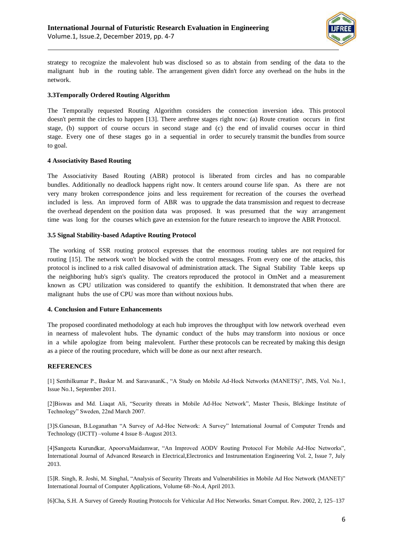

strategy to recognize the malevolent hub was disclosed so as to abstain from sending of the data to the malignant hub in the routing table. The arrangement given didn't force any overhead on the hubs in the network.

# **3.3Temporally Ordered Routing Algorithm**

The Temporally requested Routing Algorithm considers the connection inversion idea. This protocol doesn't permit the circles to happen [13]. There arethree stages right now: (a) Route creation occurs in first stage, (b) support of course occurs in second stage and (c) the end of invalid courses occur in third stage. Every one of these stages go in a sequential in order to securely transmit the bundles from source to goal.

#### **4 Associativity Based Routing**

The Associativity Based Routing (ABR) protocol is liberated from circles and has no comparable bundles. Additionally no deadlock happens right now. It centers around course life span. As there are not very many broken correspondence joins and less requirement for recreation of the courses the overhead included is less. An improved form of ABR was to upgrade the data transmission and request to decrease the overhead dependent on the position data was proposed. It was presumed that the way arrangement time was long for the courses which gave an extension for the future research to improve the ABR Protocol.

# **3.5 Signal Stability-based Adaptive Routing Protocol**

The working of SSR routing protocol expresses that the enormous routing tables are not required for routing [15]. The network won't be blocked with the control messages. From every one of the attacks, this protocol is inclined to a risk called disavowal of administration attack. The Signal Stability Table keeps up the neighboring hub's sign's quality. The creators reproduced the protocol in OmNet and a measurement known as CPU utilization was considered to quantify the exhibition. It demonstrated that when there are malignant hubs the use of CPU was more than without noxious hubs.

#### **4. Conclusion and Future Enhancements**

The proposed coordinated methodology at each hub improves the throughput with low network overhead even in nearness of malevolent hubs. The dynamic conduct of the hubs may transform into noxious or once in a while apologize from being malevolent. Further these protocols can be recreated by making this design as a piece of the routing procedure, which will be done as our next after research.

#### **REFERENCES**

[1] Senthilkumar P., Baskar M. and SaravananK., "A Study on Mobile Ad-Hock Networks (MANETS)", JMS, Vol. No.1, Issue No.1, September 2011.

[2]Biswas and Md. Liaqat Ali, "Security threats in Mobile Ad-Hoc Network", Master Thesis, Blekinge Institute of Technology" Sweden, 22nd March 2007.

[3]S.Ganesan, B.Loganathan "A Survey of Ad-Hoc Network: A Survey" International Journal of Computer Trends and Technology (IJCTT) –volume 4 Issue 8–August 2013.

[4]Sangeeta Kurundkar, ApoorvaMaidamwar, "An Improved AODV Routing Protocol For Mobile Ad-Hoc Networks", International Journal of Advanced Research in Electrical,Electronics and Instrumentation Engineering Vol. 2, Issue 7, July 2013.

[5]R. Singh, R. Joshi, M. Singhal, "Analysis of Security Threats and Vulnerabilities in Mobile Ad Hoc Network (MANET)" International Journal of Computer Applications, Volume 68–No.4, April 2013.

[6]Cha, S.H. A Survey of Greedy Routing Protocols for Vehicular Ad Hoc Networks. Smart Comput. Rev. 2002, 2, 125–137